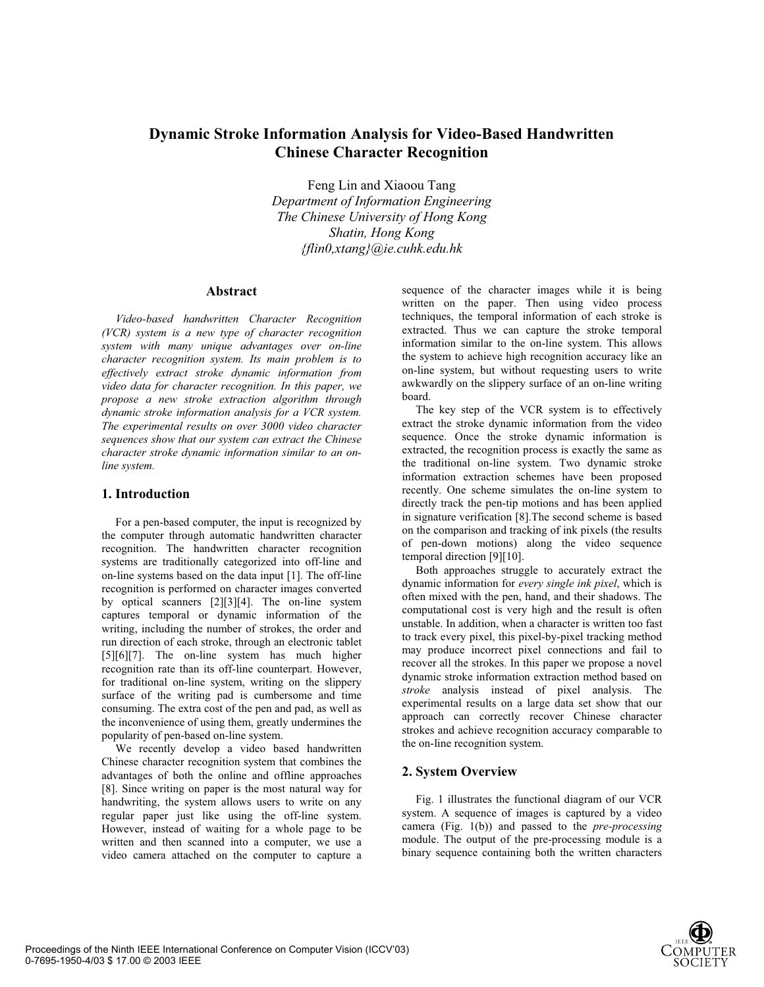# **Dynamic Stroke Information Analysis for Video-Based Handwritten Chinese Character Recognition**

Feng Lin and Xiaoou Tang *Department of Information Engineering The Chinese University of Hong Kong Shatin, Hong Kong {flin0,xtang}@ie.cuhk.edu.hk* 

#### **Abstract**

*Video-based handwritten Character Recognition (VCR) system is a new type of character recognition system with many unique advantages over on-line character recognition system. Its main problem is to effectively extract stroke dynamic information from video data for character recognition. In this paper, we propose a new stroke extraction algorithm through dynamic stroke information analysis for a VCR system. The experimental results on over 3000 video character sequences show that our system can extract the Chinese character stroke dynamic information similar to an online system.*

### **1. Introduction**

For a pen-based computer, the input is recognized by the computer through automatic handwritten character recognition. The handwritten character recognition systems are traditionally categorized into off-line and on-line systems based on the data input [1]. The off-line recognition is performed on character images converted by optical scanners [2][3][4]. The on-line system captures temporal or dynamic information of the writing, including the number of strokes, the order and run direction of each stroke, through an electronic tablet [5][6][7]. The on-line system has much higher recognition rate than its off-line counterpart. However, for traditional on-line system, writing on the slippery surface of the writing pad is cumbersome and time consuming. The extra cost of the pen and pad, as well as the inconvenience of using them, greatly undermines the popularity of pen-based on-line system.

We recently develop a video based handwritten Chinese character recognition system that combines the advantages of both the online and offline approaches [8]. Since writing on paper is the most natural way for handwriting, the system allows users to write on any regular paper just like using the off-line system. However, instead of waiting for a whole page to be written and then scanned into a computer, we use a video camera attached on the computer to capture a

sequence of the character images while it is being written on the paper. Then using video process techniques, the temporal information of each stroke is extracted. Thus we can capture the stroke temporal information similar to the on-line system. This allows the system to achieve high recognition accuracy like an on-line system, but without requesting users to write awkwardly on the slippery surface of an on-line writing board.

The key step of the VCR system is to effectively extract the stroke dynamic information from the video sequence. Once the stroke dynamic information is extracted, the recognition process is exactly the same as the traditional on-line system. Two dynamic stroke information extraction schemes have been proposed recently. One scheme simulates the on-line system to directly track the pen-tip motions and has been applied in signature verification [8].The second scheme is based on the comparison and tracking of ink pixels (the results of pen-down motions) along the video sequence temporal direction [9][10].

Both approaches struggle to accurately extract the dynamic information for *every single ink pixel*, which is often mixed with the pen, hand, and their shadows. The computational cost is very high and the result is often unstable. In addition, when a character is written too fast to track every pixel, this pixel-by-pixel tracking method may produce incorrect pixel connections and fail to recover all the strokes. In this paper we propose a novel dynamic stroke information extraction method based on *stroke* analysis instead of pixel analysis. The experimental results on a large data set show that our approach can correctly recover Chinese character strokes and achieve recognition accuracy comparable to the on-line recognition system.

# **2. System Overview**

Fig. 1 illustrates the functional diagram of our VCR system. A sequence of images is captured by a video camera (Fig. 1(b)) and passed to the *pre-processing* module. The output of the pre-processing module is a binary sequence containing both the written characters

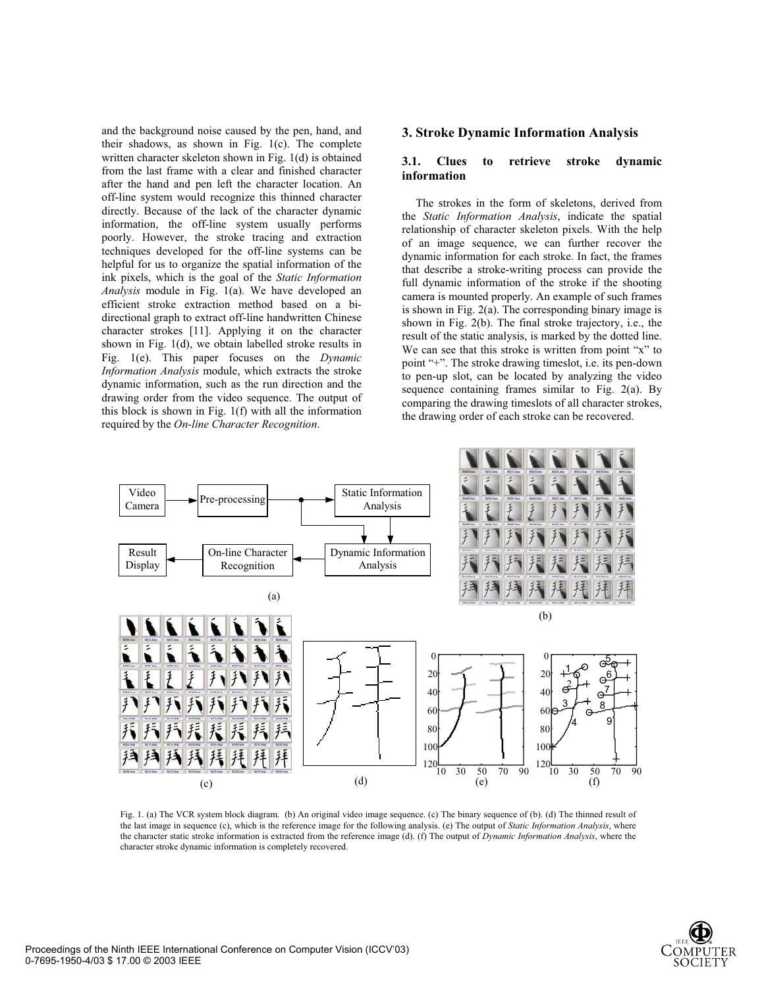and the background noise caused by the pen, hand, and their shadows, as shown in Fig. 1(c). The complete written character skeleton shown in Fig. 1(d) is obtained from the last frame with a clear and finished character after the hand and pen left the character location. An off-line system would recognize this thinned character directly. Because of the lack of the character dynamic information, the off-line system usually performs poorly. However, the stroke tracing and extraction techniques developed for the off-line systems can be helpful for us to organize the spatial information of the ink pixels, which is the goal of the *Static Information Analysis* module in Fig. 1(a). We have developed an efficient stroke extraction method based on a bidirectional graph to extract off-line handwritten Chinese character strokes [11]. Applying it on the character shown in Fig. 1(d), we obtain labelled stroke results in Fig. 1(e). This paper focuses on the *Dynamic Information Analysis* module, which extracts the stroke dynamic information, such as the run direction and the drawing order from the video sequence. The output of this block is shown in Fig. 1(f) with all the information required by the *On-line Character Recognition*.

### **3. Stroke Dynamic Information Analysis**

### **3.1. Clues to retrieve stroke dynamic information**

The strokes in the form of skeletons, derived from the *Static Information Analysis*, indicate the spatial relationship of character skeleton pixels. With the help of an image sequence, we can further recover the dynamic information for each stroke. In fact, the frames that describe a stroke-writing process can provide the full dynamic information of the stroke if the shooting camera is mounted properly. An example of such frames is shown in Fig. 2(a). The corresponding binary image is shown in Fig. 2(b). The final stroke trajectory, i.e., the result of the static analysis, is marked by the dotted line. We can see that this stroke is written from point "x" to point "+". The stroke drawing timeslot, i.e. its pen-down to pen-up slot, can be located by analyzing the video sequence containing frames similar to Fig. 2(a). By comparing the drawing timeslots of all character strokes, the drawing order of each stroke can be recovered.



Fig. 1. (a) The VCR system block diagram. (b) An original video image sequence. (c) The binary sequence of (b). (d) The thinned result of the last image in sequence (c), which is the reference image for the following analysis. (e) The output of *Static Information Analysis*, where the character static stroke information is extracted from the reference image (d). (f) The output of *Dynamic Information Analysis*, where the character stroke dynamic information is completely recovered.

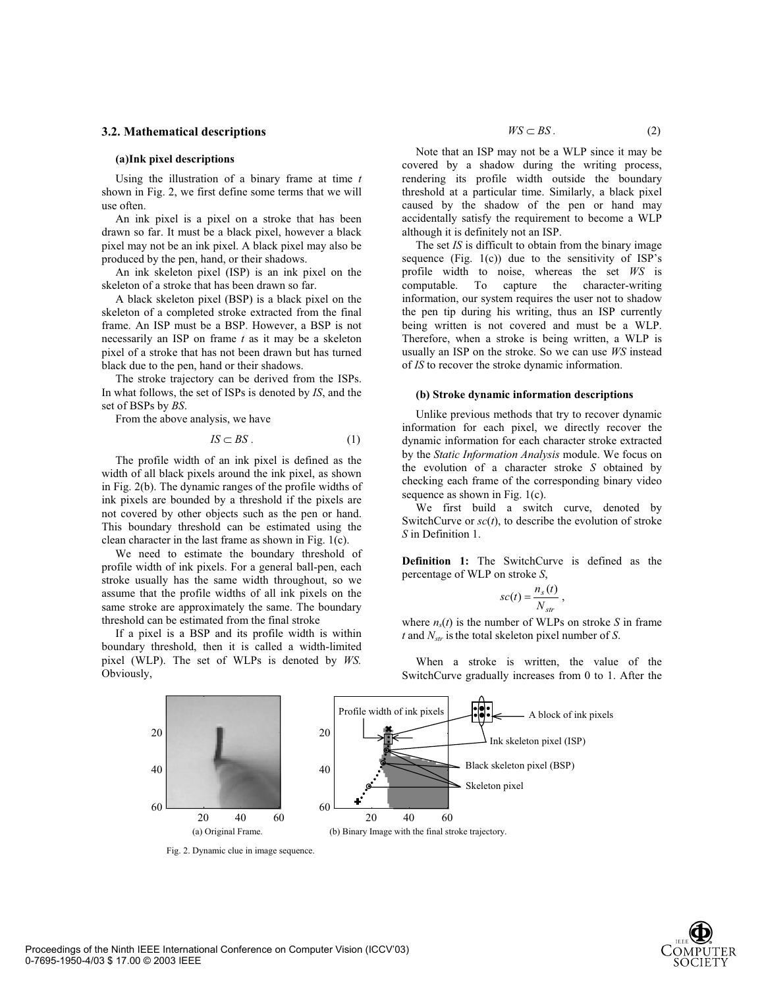#### **3.2. Mathematical descriptions**

#### **(a)Ink pixel descriptions**

Using the illustration of a binary frame at time *t* shown in Fig. 2, we first define some terms that we will use often.

An ink pixel is a pixel on a stroke that has been drawn so far. It must be a black pixel, however a black pixel may not be an ink pixel. A black pixel may also be produced by the pen, hand, or their shadows.

An ink skeleton pixel (ISP) is an ink pixel on the skeleton of a stroke that has been drawn so far.

A black skeleton pixel (BSP) is a black pixel on the skeleton of a completed stroke extracted from the final frame. An ISP must be a BSP. However, a BSP is not necessarily an ISP on frame *t* as it may be a skeleton pixel of a stroke that has not been drawn but has turned black due to the pen, hand or their shadows.

The stroke trajectory can be derived from the ISPs. In what follows, the set of ISPs is denoted by *IS*, and the set of BSPs by *BS*.

From the above analysis, we have

$$
IS \subset BS. \tag{1}
$$

The profile width of an ink pixel is defined as the width of all black pixels around the ink pixel, as shown in Fig. 2(b). The dynamic ranges of the profile widths of ink pixels are bounded by a threshold if the pixels are not covered by other objects such as the pen or hand. This boundary threshold can be estimated using the clean character in the last frame as shown in Fig. 1(c).

We need to estimate the boundary threshold of profile width of ink pixels. For a general ball-pen, each stroke usually has the same width throughout, so we assume that the profile widths of all ink pixels on the same stroke are approximately the same. The boundary threshold can be estimated from the final stroke

If a pixel is a BSP and its profile width is within boundary threshold, then it is called a width-limited pixel (WLP). The set of WLPs is denoted by *WS.*  Obviously,

Note that an ISP may not be a WLP since it may be covered by a shadow during the writing process, rendering its profile width outside the boundary threshold at a particular time. Similarly, a black pixel caused by the shadow of the pen or hand may accidentally satisfy the requirement to become a WLP although it is definitely not an ISP.

The set *IS* is difficult to obtain from the binary image sequence (Fig.  $1(c)$ ) due to the sensitivity of ISP's profile width to noise, whereas the set *WS* is computable. To capture the character-writing information, our system requires the user not to shadow the pen tip during his writing, thus an ISP currently being written is not covered and must be a WLP. Therefore, when a stroke is being written, a WLP is usually an ISP on the stroke. So we can use *WS* instead of *IS* to recover the stroke dynamic information.

#### **(b) Stroke dynamic information descriptions**

Unlike previous methods that try to recover dynamic information for each pixel, we directly recover the dynamic information for each character stroke extracted by the *Static Information Analysis* module. We focus on the evolution of a character stroke *S* obtained by checking each frame of the corresponding binary video sequence as shown in Fig. 1(c).

We first build a switch curve, denoted by SwitchCurve or  $\mathfrak{so}(t)$ , to describe the evolution of stroke *S* in Definition 1.

**Definition 1:** The SwitchCurve is defined as the percentage of WLP on stroke *S*,

$$
sc(t) = \frac{n_s(t)}{N_{str}},
$$

where  $n_s(t)$  is the number of WLPs on stroke *S* in frame *t* and *Nstr* is the total skeleton pixel number of *S*.

When a stroke is written, the value of the SwitchCurve gradually increases from 0 to 1. After the



Fig. 2. Dynamic clue in image sequence.

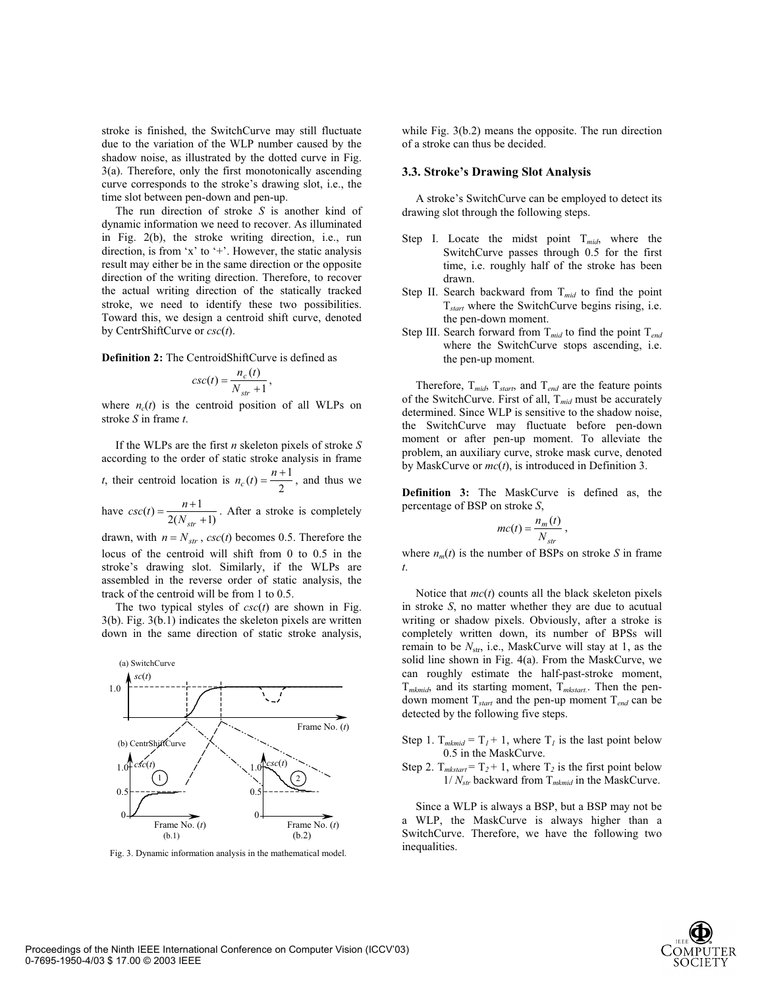stroke is finished, the SwitchCurve may still fluctuate due to the variation of the WLP number caused by the shadow noise, as illustrated by the dotted curve in Fig. 3(a). Therefore, only the first monotonically ascending curve corresponds to the stroke's drawing slot, i.e., the time slot between pen-down and pen-up.

The run direction of stroke *S* is another kind of dynamic information we need to recover. As illuminated in Fig. 2(b), the stroke writing direction, i.e., run direction, is from 'x' to '+'. However, the static analysis result may either be in the same direction or the opposite direction of the writing direction. Therefore, to recover the actual writing direction of the statically tracked stroke, we need to identify these two possibilities. Toward this, we design a centroid shift curve, denoted by CentrShiftCurve or *csc*(*t*).

**Definition 2:** The CentroidShiftCurve is defined as

$$
csc(t) = \frac{n_c(t)}{N_{str} + 1},
$$

where  $n_c(t)$  is the centroid position of all WLPs on stroke *S* in frame *t*.

If the WLPs are the first *n* skeleton pixels of stroke *S* according to the order of static stroke analysis in frame *t*, their centroid location is  $n_c(t) = \frac{n+1}{2}$ , and thus we

have  $csc(t) = \frac{n+1}{2(N_{str}+1)}$ . After a stroke is completely

drawn, with  $n = N_{str}$ ,  $csc(t)$  becomes 0.5. Therefore the locus of the centroid will shift from 0 to 0.5 in the stroke's drawing slot. Similarly, if the WLPs are assembled in the reverse order of static analysis, the track of the centroid will be from 1 to 0.5.

The two typical styles of *csc*(*t*) are shown in Fig. 3(b). Fig. 3(b.1) indicates the skeleton pixels are written down in the same direction of static stroke analysis,



Fig. 3. Dynamic information analysis in the mathematical model.

while Fig. 3(b.2) means the opposite. The run direction of a stroke can thus be decided.

#### **3.3. Stroke's Drawing Slot Analysis**

A stroke's SwitchCurve can be employed to detect its drawing slot through the following steps.

- Step I. Locate the midst point T*mid*, where the SwitchCurve passes through 0.5 for the first time, i.e. roughly half of the stroke has been drawn.
- Step II. Search backward from T*mid* to find the point T*start* where the SwitchCurve begins rising, i.e. the pen-down moment.
- Step III. Search forward from T*mid* to find the point T*end* where the SwitchCurve stops ascending, i.e. the pen-up moment.

Therefore, T*mid*, T*start*, and T*end* are the feature points of the SwitchCurve. First of all, T*mid* must be accurately determined. Since WLP is sensitive to the shadow noise, the SwitchCurve may fluctuate before pen-down moment or after pen-up moment. To alleviate the problem, an auxiliary curve, stroke mask curve, denoted by MaskCurve or *mc*(*t*), is introduced in Definition 3.

**Definition 3:** The MaskCurve is defined as, the percentage of BSP on stroke *S*,

$$
mc(t) = \frac{n_m(t)}{N_{str}},
$$

where  $n_m(t)$  is the number of BSPs on stroke *S* in frame *t*.

Notice that *mc*(*t*) counts all the black skeleton pixels in stroke *S*, no matter whether they are due to acutual writing or shadow pixels. Obviously, after a stroke is completely written down, its number of BPSs will remain to be  $N_{\rm str}$ , i.e., MaskCurve will stay at 1, as the solid line shown in Fig. 4(a). From the MaskCurve, we can roughly estimate the half-past-stroke moment, T*mkmid*, and its starting moment, T*mkstart.*. Then the pendown moment T*start* and the pen-up moment T*end* can be detected by the following five steps.

- Step 1.  $T_{mkmid} = T_I + 1$ , where  $T_I$  is the last point below 0.5 in the MaskCurve.
- Step 2.  $T_{\text{mkstart}} = T_2 + 1$ , where  $T_2$  is the first point below 1/ *Nstr* backward from T*mkmid* in the MaskCurve.

Since a WLP is always a BSP, but a BSP may not be a WLP, the MaskCurve is always higher than a SwitchCurve. Therefore, we have the following two inequalities.

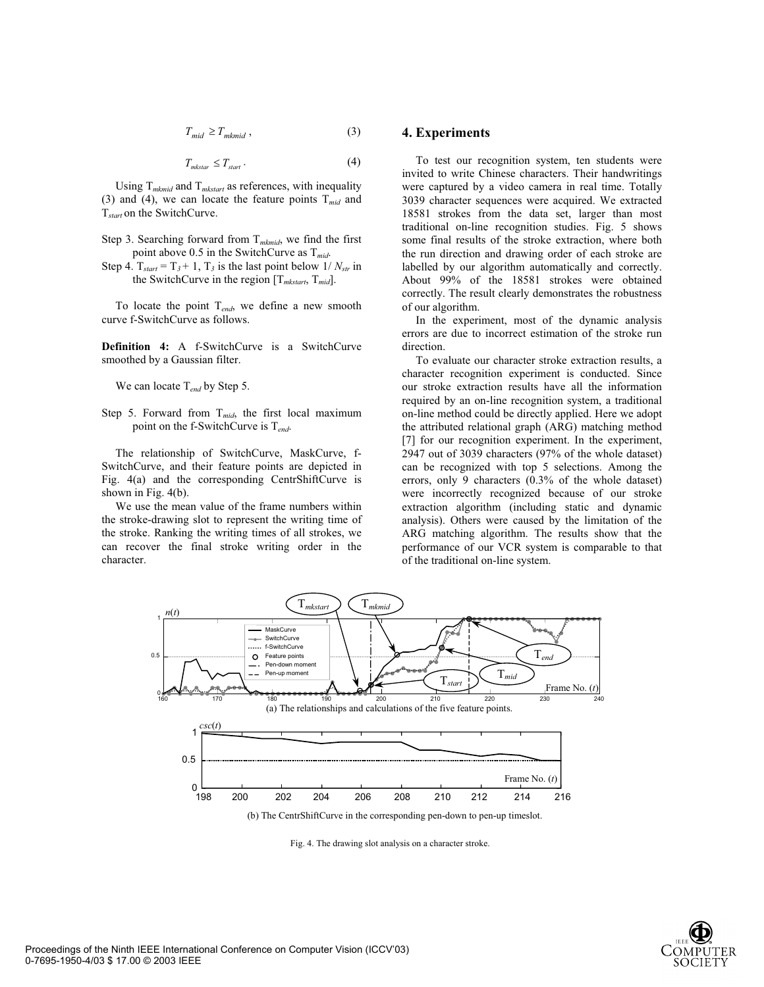$$
T_{mid} \ge T_{mkmid} , \tag{3}
$$

$$
T_{\text{mkstar}} \le T_{\text{start}}.\tag{4}
$$

Using T*mkmid* and T*mkstart* as references, with inequality (3) and (4), we can locate the feature points  $T_{mid}$  and T*start* on the SwitchCurve.

- Step 3. Searching forward from T*mkmid*, we find the first point above 0.5 in the SwitchCurve as T*mid*.
- Step 4.  $T_{start} = T_3 + 1$ ,  $T_3$  is the last point below 1/  $N_{str}$  in the SwitchCurve in the region [T*mkstart*, T*mid*].

To locate the point T*end*, we define a new smooth curve f-SwitchCurve as follows.

**Definition 4:** A f-SwitchCurve is a SwitchCurve smoothed by a Gaussian filter.

We can locate T*end* by Step 5.

Step 5. Forward from T*mid*, the first local maximum point on the f-SwitchCurve is T*end*.

The relationship of SwitchCurve, MaskCurve, f-SwitchCurve, and their feature points are depicted in Fig. 4(a) and the corresponding CentrShiftCurve is shown in Fig. 4(b).

We use the mean value of the frame numbers within the stroke-drawing slot to represent the writing time of the stroke. Ranking the writing times of all strokes, we can recover the final stroke writing order in the character.

### **4. Experiments**

To test our recognition system, ten students were invited to write Chinese characters. Their handwritings were captured by a video camera in real time. Totally 3039 character sequences were acquired. We extracted 18581 strokes from the data set, larger than most traditional on-line recognition studies. Fig. 5 shows some final results of the stroke extraction, where both the run direction and drawing order of each stroke are labelled by our algorithm automatically and correctly. About 99% of the 18581 strokes were obtained correctly. The result clearly demonstrates the robustness of our algorithm.

In the experiment, most of the dynamic analysis errors are due to incorrect estimation of the stroke run direction.

To evaluate our character stroke extraction results, a character recognition experiment is conducted. Since our stroke extraction results have all the information required by an on-line recognition system, a traditional on-line method could be directly applied. Here we adopt the attributed relational graph (ARG) matching method [7] for our recognition experiment. In the experiment, 2947 out of 3039 characters (97% of the whole dataset) can be recognized with top 5 selections. Among the errors, only 9 characters (0.3% of the whole dataset) were incorrectly recognized because of our stroke extraction algorithm (including static and dynamic analysis). Others were caused by the limitation of the ARG matching algorithm. The results show that the performance of our VCR system is comparable to that of the traditional on-line system.



(b) The CentrShiftCurve in the corresponding pen-down to pen-up timeslot.

Fig. 4. The drawing slot analysis on a character stroke.